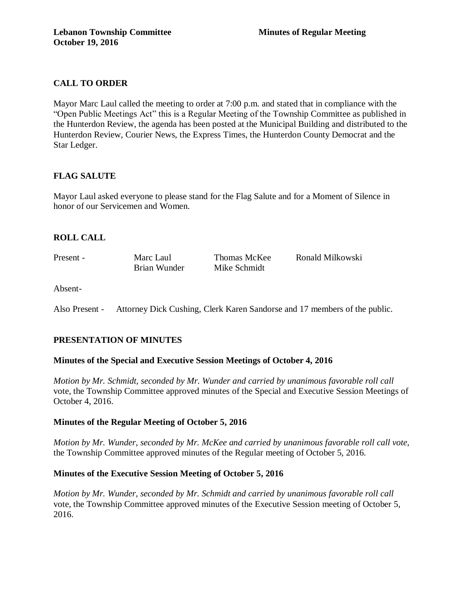# **CALL TO ORDER**

Mayor Marc Laul called the meeting to order at 7:00 p.m. and stated that in compliance with the "Open Public Meetings Act" this is a Regular Meeting of the Township Committee as published in the Hunterdon Review, the agenda has been posted at the Municipal Building and distributed to the Hunterdon Review, Courier News, the Express Times, the Hunterdon County Democrat and the Star Ledger.

## **FLAG SALUTE**

Mayor Laul asked everyone to please stand for the Flag Salute and for a Moment of Silence in honor of our Servicemen and Women.

## **ROLL CALL**

Present - Marc Laul Thomas McKee Ronald Milkowski Brian Wunder Mike Schmidt

Absent-

Also Present - Attorney Dick Cushing, Clerk Karen Sandorse and 17 members of the public.

## **PRESENTATION OF MINUTES**

### **Minutes of the Special and Executive Session Meetings of October 4, 2016**

*Motion by Mr. Schmidt, seconded by Mr. Wunder and carried by unanimous favorable roll call*  vote, the Township Committee approved minutes of the Special and Executive Session Meetings of October 4, 2016.

## **Minutes of the Regular Meeting of October 5, 2016**

*Motion by Mr. Wunder, seconded by Mr. McKee and carried by unanimous favorable roll call vote,*  the Township Committee approved minutes of the Regular meeting of October 5, 2016.

## **Minutes of the Executive Session Meeting of October 5, 2016**

*Motion by Mr. Wunder, seconded by Mr. Schmidt and carried by unanimous favorable roll call*  vote, the Township Committee approved minutes of the Executive Session meeting of October 5, 2016.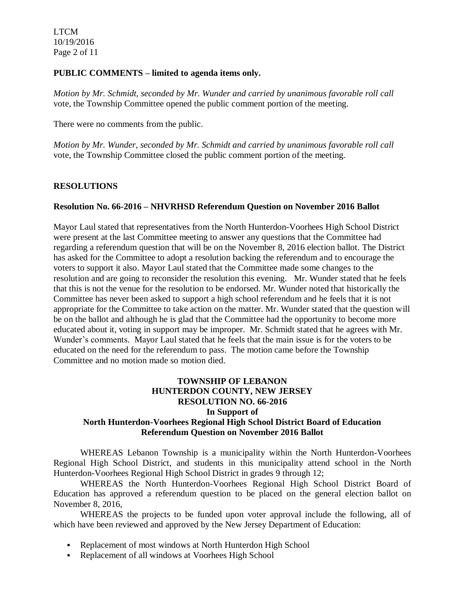LTCM 10/19/2016 Page 2 of 11

#### **PUBLIC COMMENTS – limited to agenda items only.**

*Motion by Mr. Schmidt, seconded by Mr. Wunder and carried by unanimous favorable roll call*  vote, the Township Committee opened the public comment portion of the meeting.

There were no comments from the public.

*Motion by Mr. Wunder, seconded by Mr. Schmidt and carried by unanimous favorable roll call*  vote, the Township Committee closed the public comment portion of the meeting.

### **RESOLUTIONS**

### **Resolution No. 66-2016 – NHVRHSD Referendum Question on November 2016 Ballot**

Mayor Laul stated that representatives from the North Hunterdon-Voorhees High School District were present at the last Committee meeting to answer any questions that the Committee had regarding a referendum question that will be on the November 8, 2016 election ballot. The District has asked for the Committee to adopt a resolution backing the referendum and to encourage the voters to support it also. Mayor Laul stated that the Committee made some changes to the resolution and are going to reconsider the resolution this evening. Mr. Wunder stated that he feels that this is not the venue for the resolution to be endorsed. Mr. Wunder noted that historically the Committee has never been asked to support a high school referendum and he feels that it is not appropriate for the Committee to take action on the matter. Mr. Wunder stated that the question will be on the ballot and although he is glad that the Committee had the opportunity to become more educated about it, voting in support may be improper. Mr. Schmidt stated that he agrees with Mr. Wunder's comments. Mayor Laul stated that he feels that the main issue is for the voters to be educated on the need for the referendum to pass. The motion came before the Township Committee and no motion made so motion died.

### **TOWNSHIP OF LEBANON HUNTERDON COUNTY, NEW JERSEY RESOLUTION NO. 66-2016 In Support of North Hunterdon-Voorhees Regional High School District Board of Education Referendum Question on November 2016 Ballot**

WHEREAS Lebanon Township is a municipality within the North Hunterdon-Voorhees Regional High School District, and students in this municipality attend school in the North Hunterdon-Voorhees Regional High School District in grades 9 through 12;

WHEREAS the North Hunterdon-Voorhees Regional High School District Board of Education has approved a referendum question to be placed on the general election ballot on November 8, 2016,

WHEREAS the projects to be funded upon voter approval include the following, all of which have been reviewed and approved by the New Jersey Department of Education:

- Replacement of most windows at North Hunterdon High School
- Replacement of all windows at Voorhees High School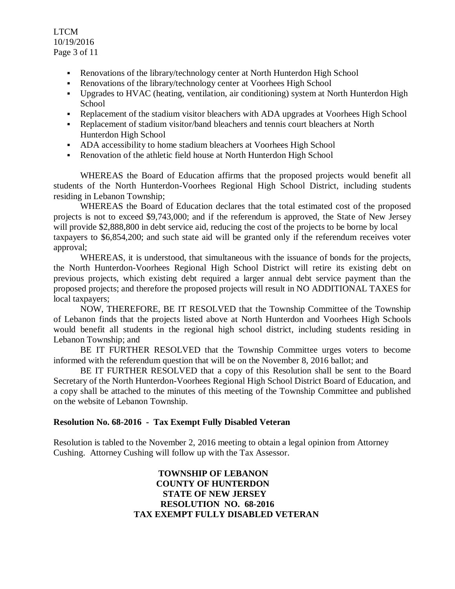LTCM 10/19/2016 Page 3 of 11

- Renovations of the library/technology center at North Hunterdon High School
- Renovations of the library/technology center at Voorhees High School
- Upgrades to HVAC (heating, ventilation, air conditioning) system at North Hunterdon High School
- Replacement of the stadium visitor bleachers with ADA upgrades at Voorhees High School
- Replacement of stadium visitor/band bleachers and tennis court bleachers at North Hunterdon High School
- ADA accessibility to home stadium bleachers at Voorhees High School
- Renovation of the athletic field house at North Hunterdon High School

WHEREAS the Board of Education affirms that the proposed projects would benefit all students of the North Hunterdon-Voorhees Regional High School District, including students residing in Lebanon Township;

WHEREAS the Board of Education declares that the total estimated cost of the proposed projects is not to exceed \$9,743,000; and if the referendum is approved, the State of New Jersey will provide \$2,888,800 in debt service aid, reducing the cost of the projects to be borne by local taxpayers to \$6,854,200; and such state aid will be granted only if the referendum receives voter approval;

WHEREAS, it is understood, that simultaneous with the issuance of bonds for the projects, the North Hunterdon-Voorhees Regional High School District will retire its existing debt on previous projects, which existing debt required a larger annual debt service payment than the proposed projects; and therefore the proposed projects will result in NO ADDITIONAL TAXES for local taxpayers;

NOW, THEREFORE, BE IT RESOLVED that the Township Committee of the Township of Lebanon finds that the projects listed above at North Hunterdon and Voorhees High Schools would benefit all students in the regional high school district, including students residing in Lebanon Township; and

BE IT FURTHER RESOLVED that the Township Committee urges voters to become informed with the referendum question that will be on the November 8, 2016 ballot; and

BE IT FURTHER RESOLVED that a copy of this Resolution shall be sent to the Board Secretary of the North Hunterdon-Voorhees Regional High School District Board of Education, and a copy shall be attached to the minutes of this meeting of the Township Committee and published on the website of Lebanon Township.

### **Resolution No. 68-2016 - Tax Exempt Fully Disabled Veteran**

Resolution is tabled to the November 2, 2016 meeting to obtain a legal opinion from Attorney Cushing. Attorney Cushing will follow up with the Tax Assessor.

> **TOWNSHIP OF LEBANON COUNTY OF HUNTERDON STATE OF NEW JERSEY RESOLUTION NO. 68-2016 TAX EXEMPT FULLY DISABLED VETERAN**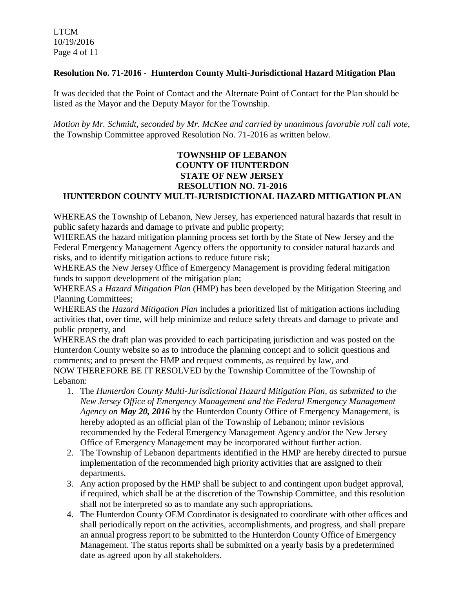### **Resolution No. 71-2016 - Hunterdon County Multi-Jurisdictional Hazard Mitigation Plan**

It was decided that the Point of Contact and the Alternate Point of Contact for the Plan should be listed as the Mayor and the Deputy Mayor for the Township.

*Motion by Mr. Schmidt, seconded by Mr. McKee and carried by unanimous favorable roll call vote,* the Township Committee approved Resolution No. 71-2016 as written below.

## **TOWNSHIP OF LEBANON COUNTY OF HUNTERDON STATE OF NEW JERSEY RESOLUTION NO. 71-2016 HUNTERDON COUNTY MULTI-JURISDICTIONAL HAZARD MITIGATION PLAN**

WHEREAS the Township of Lebanon, New Jersey, has experienced natural hazards that result in public safety hazards and damage to private and public property;

WHEREAS the hazard mitigation planning process set forth by the State of New Jersey and the Federal Emergency Management Agency offers the opportunity to consider natural hazards and risks, and to identify mitigation actions to reduce future risk;

WHEREAS the New Jersey Office of Emergency Management is providing federal mitigation funds to support development of the mitigation plan;

WHEREAS a *Hazard Mitigation Plan* (HMP) has been developed by the Mitigation Steering and Planning Committees;

WHEREAS the *Hazard Mitigation Plan* includes a prioritized list of mitigation actions including activities that, over time, will help minimize and reduce safety threats and damage to private and public property, and

WHEREAS the draft plan was provided to each participating jurisdiction and was posted on the Hunterdon County website so as to introduce the planning concept and to solicit questions and comments; and to present the HMP and request comments, as required by law, and NOW THEREFORE BE IT RESOLVED by the Township Committee of the Township of Lebanon:

- 1. The *Hunterdon County Multi-Jurisdictional Hazard Mitigation Plan, as submitted to the New Jersey Office of Emergency Management and the Federal Emergency Management Agency on May 20, 2016* by the Hunterdon County Office of Emergency Management, is hereby adopted as an official plan of the Township of Lebanon; minor revisions recommended by the Federal Emergency Management Agency and/or the New Jersey Office of Emergency Management may be incorporated without further action.
- 2. The Township of Lebanon departments identified in the HMP are hereby directed to pursue implementation of the recommended high priority activities that are assigned to their departments.
- 3. Any action proposed by the HMP shall be subject to and contingent upon budget approval, if required, which shall be at the discretion of the Township Committee, and this resolution shall not be interpreted so as to mandate any such appropriations.
- 4. The Hunterdon County OEM Coordinator is designated to coordinate with other offices and shall periodically report on the activities, accomplishments, and progress, and shall prepare an annual progress report to be submitted to the Hunterdon County Office of Emergency Management. The status reports shall be submitted on a yearly basis by a predetermined date as agreed upon by all stakeholders.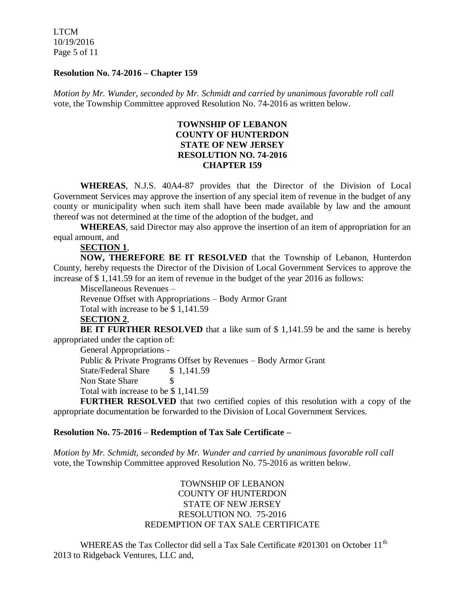LTCM 10/19/2016 Page 5 of 11

#### **Resolution No. 74-2016 – Chapter 159**

*Motion by Mr. Wunder, seconded by Mr. Schmidt and carried by unanimous favorable roll call*  vote, the Township Committee approved Resolution No. 74-2016 as written below.

## **TOWNSHIP OF LEBANON COUNTY OF HUNTERDON STATE OF NEW JERSEY RESOLUTION NO. 74-2016 CHAPTER 159**

**WHEREAS**, N.J.S. 40A4-87 provides that the Director of the Division of Local Government Services may approve the insertion of any special item of revenue in the budget of any county or municipality when such item shall have been made available by law and the amount thereof was not determined at the time of the adoption of the budget, and

**WHEREAS**, said Director may also approve the insertion of an item of appropriation for an equal amount, and

## **SECTION 1**,

**NOW, THEREFORE BE IT RESOLVED** that the Township of Lebanon, Hunterdon County, hereby requests the Director of the Division of Local Government Services to approve the increase of \$ 1,141.59 for an item of revenue in the budget of the year 2016 as follows:

Miscellaneous Revenues –

Revenue Offset with Appropriations – Body Armor Grant

Total with increase to be \$ 1,141.59

## **SECTION 2**,

**BE IT FURTHER RESOLVED** that a like sum of \$ 1,141.59 be and the same is hereby appropriated under the caption of:

General Appropriations - Public & Private Programs Offset by Revenues – Body Armor Grant State/Federal Share \$ 1,141.59 Non State Share \$ Total with increase to be \$ 1,141.59

**FURTHER RESOLVED** that two certified copies of this resolution with a copy of the appropriate documentation be forwarded to the Division of Local Government Services.

### **Resolution No. 75-2016 – Redemption of Tax Sale Certificate –**

*Motion by Mr. Schmidt, seconded by Mr. Wunder and carried by unanimous favorable roll call*  vote, the Township Committee approved Resolution No. 75-2016 as written below.

> TOWNSHIP OF LEBANON COUNTY OF HUNTERDON STATE OF NEW JERSEY RESOLUTION NO. 75-2016 REDEMPTION OF TAX SALE CERTIFICATE

WHEREAS the Tax Collector did sell a Tax Sale Certificate #201301 on October 11<sup>th</sup> 2013 to Ridgeback Ventures, LLC and,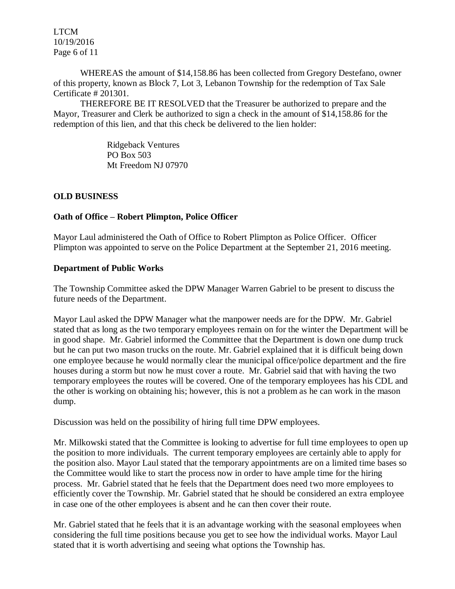LTCM 10/19/2016 Page 6 of 11

WHEREAS the amount of \$14,158.86 has been collected from Gregory Destefano, owner of this property, known as Block 7, Lot 3, Lebanon Township for the redemption of Tax Sale Certificate # 201301.

THEREFORE BE IT RESOLVED that the Treasurer be authorized to prepare and the Mayor, Treasurer and Clerk be authorized to sign a check in the amount of \$14,158.86 for the redemption of this lien, and that this check be delivered to the lien holder:

> Ridgeback Ventures PO Box 503 Mt Freedom NJ 07970

### **OLD BUSINESS**

### **Oath of Office – Robert Plimpton, Police Officer**

Mayor Laul administered the Oath of Office to Robert Plimpton as Police Officer. Officer Plimpton was appointed to serve on the Police Department at the September 21, 2016 meeting.

### **Department of Public Works**

The Township Committee asked the DPW Manager Warren Gabriel to be present to discuss the future needs of the Department.

Mayor Laul asked the DPW Manager what the manpower needs are for the DPW. Mr. Gabriel stated that as long as the two temporary employees remain on for the winter the Department will be in good shape. Mr. Gabriel informed the Committee that the Department is down one dump truck but he can put two mason trucks on the route. Mr. Gabriel explained that it is difficult being down one employee because he would normally clear the municipal office/police department and the fire houses during a storm but now he must cover a route. Mr. Gabriel said that with having the two temporary employees the routes will be covered. One of the temporary employees has his CDL and the other is working on obtaining his; however, this is not a problem as he can work in the mason dump.

Discussion was held on the possibility of hiring full time DPW employees.

Mr. Milkowski stated that the Committee is looking to advertise for full time employees to open up the position to more individuals. The current temporary employees are certainly able to apply for the position also. Mayor Laul stated that the temporary appointments are on a limited time bases so the Committee would like to start the process now in order to have ample time for the hiring process. Mr. Gabriel stated that he feels that the Department does need two more employees to efficiently cover the Township. Mr. Gabriel stated that he should be considered an extra employee in case one of the other employees is absent and he can then cover their route.

Mr. Gabriel stated that he feels that it is an advantage working with the seasonal employees when considering the full time positions because you get to see how the individual works. Mayor Laul stated that it is worth advertising and seeing what options the Township has.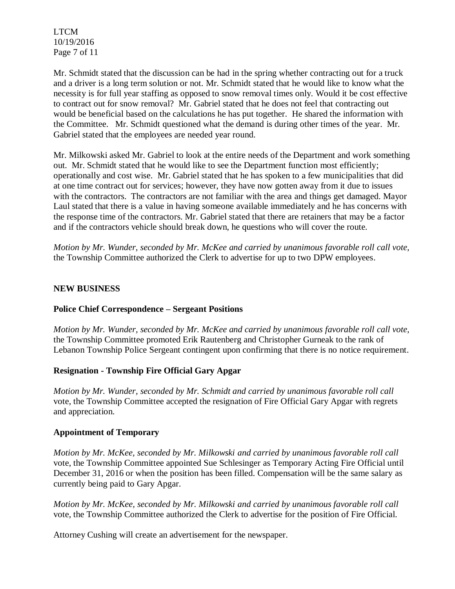LTCM 10/19/2016 Page 7 of 11

Mr. Schmidt stated that the discussion can be had in the spring whether contracting out for a truck and a driver is a long term solution or not. Mr. Schmidt stated that he would like to know what the necessity is for full year staffing as opposed to snow removal times only. Would it be cost effective to contract out for snow removal? Mr. Gabriel stated that he does not feel that contracting out would be beneficial based on the calculations he has put together. He shared the information with the Committee. Mr. Schmidt questioned what the demand is during other times of the year. Mr. Gabriel stated that the employees are needed year round.

Mr. Milkowski asked Mr. Gabriel to look at the entire needs of the Department and work something out. Mr. Schmidt stated that he would like to see the Department function most efficiently; operationally and cost wise. Mr. Gabriel stated that he has spoken to a few municipalities that did at one time contract out for services; however, they have now gotten away from it due to issues with the contractors. The contractors are not familiar with the area and things get damaged. Mayor Laul stated that there is a value in having someone available immediately and he has concerns with the response time of the contractors. Mr. Gabriel stated that there are retainers that may be a factor and if the contractors vehicle should break down, he questions who will cover the route.

*Motion by Mr. Wunder, seconded by Mr. McKee and carried by unanimous favorable roll call vote,* the Township Committee authorized the Clerk to advertise for up to two DPW employees.

## **NEW BUSINESS**

### **Police Chief Correspondence – Sergeant Positions**

*Motion by Mr. Wunder, seconded by Mr. McKee and carried by unanimous favorable roll call vote,* the Township Committee promoted Erik Rautenberg and Christopher Gurneak to the rank of Lebanon Township Police Sergeant contingent upon confirming that there is no notice requirement.

### **Resignation - Township Fire Official Gary Apgar**

*Motion by Mr. Wunder, seconded by Mr. Schmidt and carried by unanimous favorable roll call*  vote, the Township Committee accepted the resignation of Fire Official Gary Apgar with regrets and appreciation.

### **Appointment of Temporary**

*Motion by Mr. McKee, seconded by Mr. Milkowski and carried by unanimous favorable roll call*  vote, the Township Committee appointed Sue Schlesinger as Temporary Acting Fire Official until December 31, 2016 or when the position has been filled. Compensation will be the same salary as currently being paid to Gary Apgar.

*Motion by Mr. McKee, seconded by Mr. Milkowski and carried by unanimous favorable roll call*  vote, the Township Committee authorized the Clerk to advertise for the position of Fire Official.

Attorney Cushing will create an advertisement for the newspaper.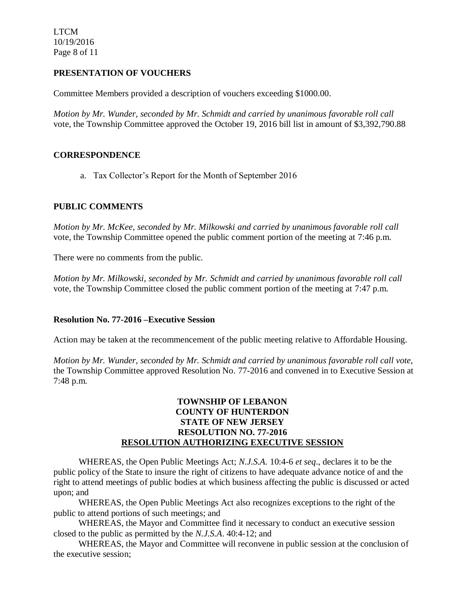LTCM 10/19/2016 Page 8 of 11

# **PRESENTATION OF VOUCHERS**

Committee Members provided a description of vouchers exceeding \$1000.00.

*Motion by Mr. Wunder, seconded by Mr. Schmidt and carried by unanimous favorable roll call*  vote, the Township Committee approved the October 19, 2016 bill list in amount of \$3,392,790.88

## **CORRESPONDENCE**

a. Tax Collector's Report for the Month of September 2016

## **PUBLIC COMMENTS**

*Motion by Mr. McKee, seconded by Mr. Milkowski and carried by unanimous favorable roll call*  vote, the Township Committee opened the public comment portion of the meeting at 7:46 p.m.

There were no comments from the public.

*Motion by Mr. Milkowski, seconded by Mr. Schmidt and carried by unanimous favorable roll call* vote, the Township Committee closed the public comment portion of the meeting at 7:47 p.m.

### **Resolution No. 77-2016 –Executive Session**

Action may be taken at the recommencement of the public meeting relative to Affordable Housing.

*Motion by Mr. Wunder, seconded by Mr. Schmidt and carried by unanimous favorable roll call vote*, the Township Committee approved Resolution No. 77-2016 and convened in to Executive Session at 7:48 p.m.

## **TOWNSHIP OF LEBANON COUNTY OF HUNTERDON STATE OF NEW JERSEY RESOLUTION NO. 77-2016 RESOLUTION AUTHORIZING EXECUTIVE SESSION**

WHEREAS, the Open Public Meetings Act; *N.J.S.A.* 10:4-6 *et seq*., declares it to be the public policy of the State to insure the right of citizens to have adequate advance notice of and the right to attend meetings of public bodies at which business affecting the public is discussed or acted upon; and

WHEREAS, the Open Public Meetings Act also recognizes exceptions to the right of the public to attend portions of such meetings; and

WHEREAS, the Mayor and Committee find it necessary to conduct an executive session closed to the public as permitted by the *N.J.S.A*. 40:4-12; and

WHEREAS, the Mayor and Committee will reconvene in public session at the conclusion of the executive session;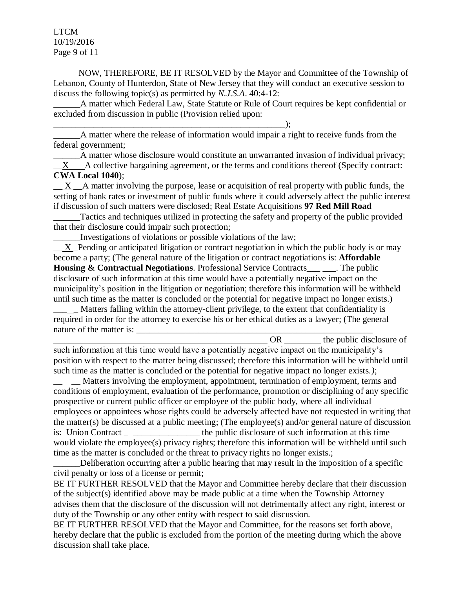LTCM 10/19/2016 Page 9 of 11

NOW, THEREFORE, BE IT RESOLVED by the Mayor and Committee of the Township of Lebanon, County of Hunterdon, State of New Jersey that they will conduct an executive session to discuss the following topic(s) as permitted by *N.J.S.A*. 40:4-12:

A matter which Federal Law, State Statute or Rule of Court requires be kept confidential or excluded from discussion in public (Provision relied upon:

\_\_\_\_\_\_\_\_\_\_\_\_\_\_\_\_\_\_\_\_\_\_\_\_\_\_\_\_\_\_\_\_\_\_\_\_\_\_\_\_\_\_\_\_\_\_\_\_\_\_\_\_); A matter where the release of information would impair a right to receive funds from the federal government;

A matter whose disclosure would constitute an unwarranted invasion of individual privacy;  $\mathbf{X}$  A collective bargaining agreement, or the terms and conditions thereof (Specify contract:

### **CWA Local 1040**);

X A matter involving the purpose, lease or acquisition of real property with public funds, the setting of bank rates or investment of public funds where it could adversely affect the public interest if discussion of such matters were disclosed; Real Estate Acquisitions **97 Red Mill Road**

Tactics and techniques utilized in protecting the safety and property of the public provided that their disclosure could impair such protection;

\_\_\_\_\_\_Investigations of violations or possible violations of the law;

X Pending or anticipated litigation or contract negotiation in which the public body is or may become a party; (The general nature of the litigation or contract negotiations is: **Affordable Housing & Contractual Negotiations**. Professional Service Contracts\_\_\_ \_\_\_. The public disclosure of such information at this time would have a potentially negative impact on the municipality's position in the litigation or negotiation; therefore this information will be withheld until such time as the matter is concluded or the potential for negative impact no longer exists.)

Matters falling within the attorney-client privilege, to the extent that confidentiality is required in order for the attorney to exercise his or her ethical duties as a lawyer; (The general nature of the matter is:

OR the public disclosure of such information at this time would have a potentially negative impact on the municipality's position with respect to the matter being discussed; therefore this information will be withheld until such time as the matter is concluded or the potential for negative impact no longer exists.*)*;

Matters involving the employment, appointment, termination of employment, terms and conditions of employment, evaluation of the performance, promotion or disciplining of any specific prospective or current public officer or employee of the public body, where all individual employees or appointees whose rights could be adversely affected have not requested in writing that the matter(s) be discussed at a public meeting; (The employee(s) and/or general nature of discussion is: Union Contract the public disclosure of such information at this time would violate the employee(s) privacy rights; therefore this information will be withheld until such time as the matter is concluded or the threat to privacy rights no longer exists.;

Deliberation occurring after a public hearing that may result in the imposition of a specific civil penalty or loss of a license or permit;

BE IT FURTHER RESOLVED that the Mayor and Committee hereby declare that their discussion of the subject(s) identified above may be made public at a time when the Township Attorney advises them that the disclosure of the discussion will not detrimentally affect any right, interest or duty of the Township or any other entity with respect to said discussion.

BE IT FURTHER RESOLVED that the Mayor and Committee, for the reasons set forth above, hereby declare that the public is excluded from the portion of the meeting during which the above discussion shall take place.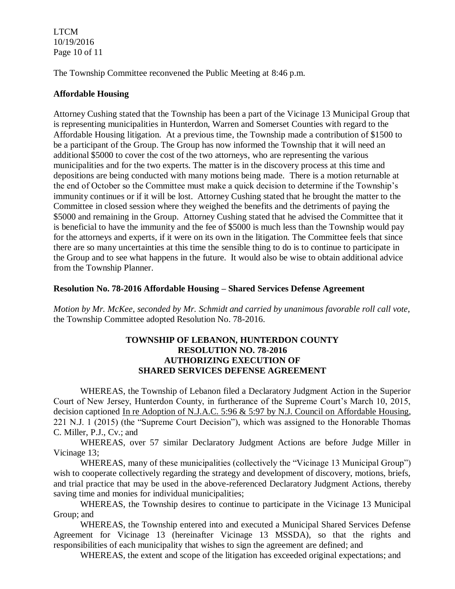LTCM 10/19/2016 Page 10 of 11

The Township Committee reconvened the Public Meeting at 8:46 p.m.

## **Affordable Housing**

Attorney Cushing stated that the Township has been a part of the Vicinage 13 Municipal Group that is representing municipalities in Hunterdon, Warren and Somerset Counties with regard to the Affordable Housing litigation. At a previous time, the Township made a contribution of \$1500 to be a participant of the Group. The Group has now informed the Township that it will need an additional \$5000 to cover the cost of the two attorneys, who are representing the various municipalities and for the two experts. The matter is in the discovery process at this time and depositions are being conducted with many motions being made. There is a motion returnable at the end of October so the Committee must make a quick decision to determine if the Township's immunity continues or if it will be lost. Attorney Cushing stated that he brought the matter to the Committee in closed session where they weighed the benefits and the detriments of paying the \$5000 and remaining in the Group. Attorney Cushing stated that he advised the Committee that it is beneficial to have the immunity and the fee of \$5000 is much less than the Township would pay for the attorneys and experts, if it were on its own in the litigation. The Committee feels that since there are so many uncertainties at this time the sensible thing to do is to continue to participate in the Group and to see what happens in the future. It would also be wise to obtain additional advice from the Township Planner.

### **Resolution No. 78-2016 Affordable Housing – Shared Services Defense Agreement**

*Motion by Mr. McKee, seconded by Mr. Schmidt and carried by unanimous favorable roll call vote,* the Township Committee adopted Resolution No. 78-2016.

### **TOWNSHIP OF LEBANON, HUNTERDON COUNTY RESOLUTION NO. 78-2016 AUTHORIZING EXECUTION OF SHARED SERVICES DEFENSE AGREEMENT**

WHEREAS, the Township of Lebanon filed a Declaratory Judgment Action in the Superior Court of New Jersey, Hunterdon County, in furtherance of the Supreme Court's March 10, 2015, decision captioned In re Adoption of N.J.A.C. 5:96 & 5:97 by N.J. Council on Affordable Housing, 221 N.J. 1 (2015) (the "Supreme Court Decision"), which was assigned to the Honorable Thomas C. Miller, P.J., Cv.; and

WHEREAS, over 57 similar Declaratory Judgment Actions are before Judge Miller in Vicinage 13;

WHEREAS, many of these municipalities (collectively the "Vicinage 13 Municipal Group") wish to cooperate collectively regarding the strategy and development of discovery, motions, briefs, and trial practice that may be used in the above-referenced Declaratory Judgment Actions, thereby saving time and monies for individual municipalities;

WHEREAS, the Township desires to continue to participate in the Vicinage 13 Municipal Group; and

WHEREAS, the Township entered into and executed a Municipal Shared Services Defense Agreement for Vicinage 13 (hereinafter Vicinage 13 MSSDA), so that the rights and responsibilities of each municipality that wishes to sign the agreement are defined; and

WHEREAS, the extent and scope of the litigation has exceeded original expectations; and